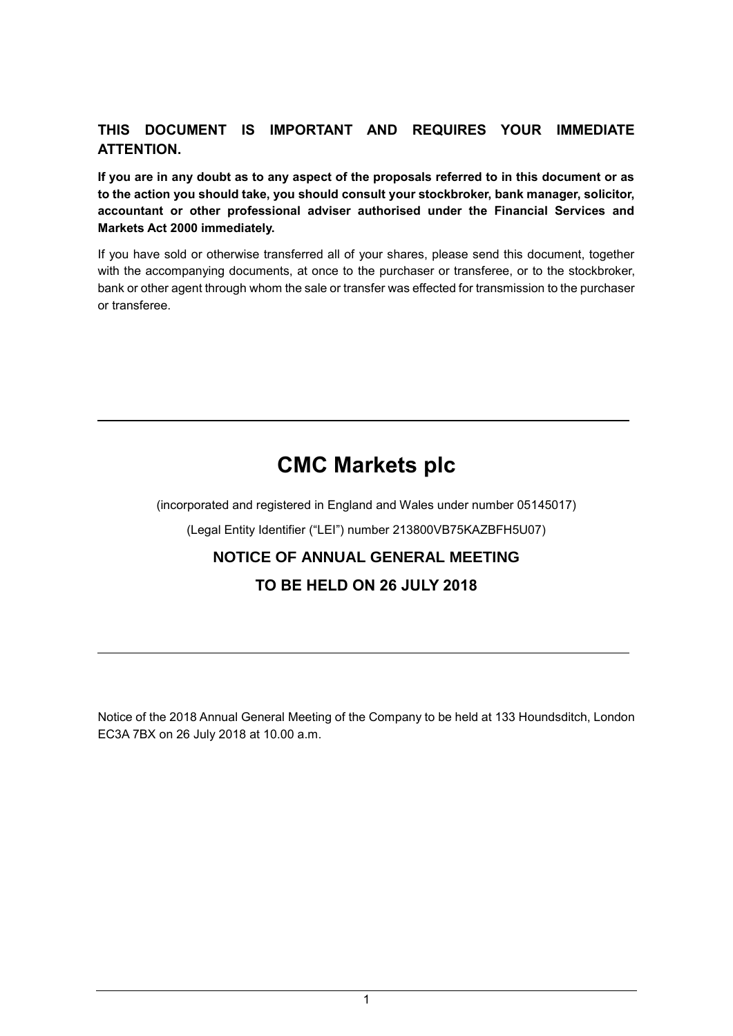# **THIS DOCUMENT IS IMPORTANT AND REQUIRES YOUR IMMEDIATE ATTENTION.**

**If you are in any doubt as to any aspect of the proposals referred to in this document or as to the action you should take, you should consult your stockbroker, bank manager, solicitor, accountant or other professional adviser authorised under the Financial Services and Markets Act 2000 immediately.**

If you have sold or otherwise transferred all of your shares, please send this document, together with the accompanying documents, at once to the purchaser or transferee, or to the stockbroker, bank or other agent through whom the sale or transfer was effected for transmission to the purchaser or transferee.

# **CMC Markets plc**

(incorporated and registered in England and Wales under number 05145017)

(Legal Entity Identifier ("LEI") number 213800VB75KAZBFH5U07)

# **NOTICE OF ANNUAL GENERAL MEETING**

# **TO BE HELD ON 26 JULY 2018**

Notice of the 2018 Annual General Meeting of the Company to be held at 133 Houndsditch, London EC3A 7BX on 26 July 2018 at 10.00 a.m.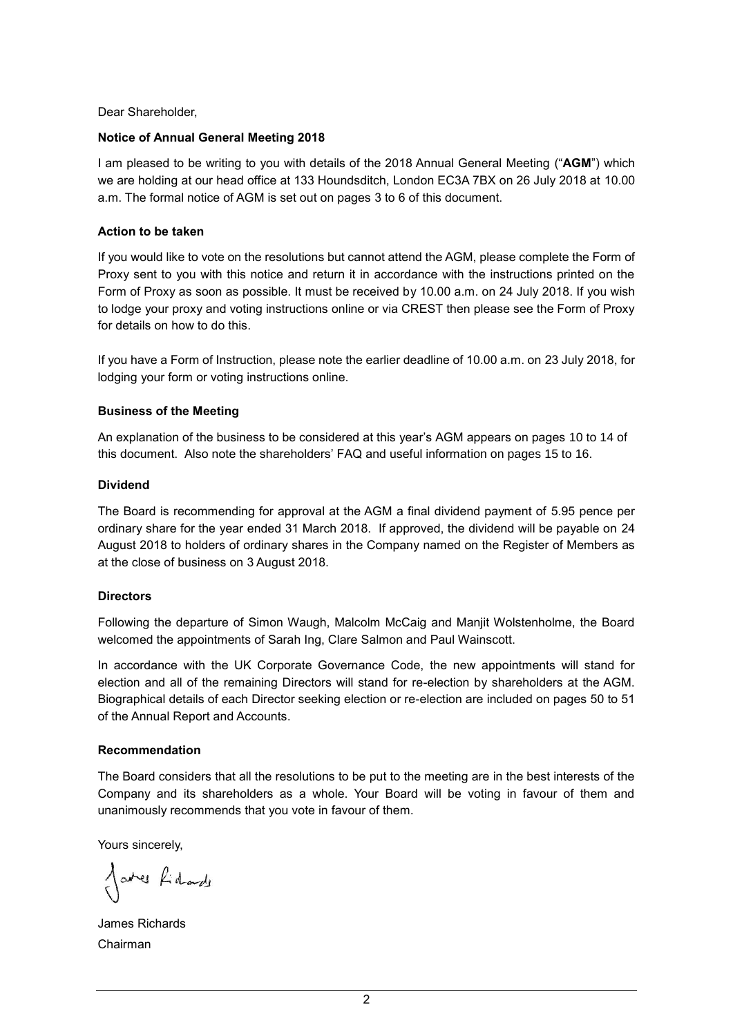#### Dear Shareholder,

#### **Notice of Annual General Meeting 2018**

I am pleased to be writing to you with details of the 2018 Annual General Meeting ("**AGM**") which we are holding at our head office at 133 Houndsditch, London EC3A 7BX on 26 July 2018 at 10.00 a.m. The formal notice of AGM is set out on pages 3 to 6 of this document.

#### **Action to be taken**

If you would like to vote on the resolutions but cannot attend the AGM, please complete the Form of Proxy sent to you with this notice and return it in accordance with the instructions printed on the Form of Proxy as soon as possible. It must be received by 10.00 a.m. on 24 July 2018. If you wish to lodge your proxy and voting instructions online or via CREST then please see the Form of Proxy for details on how to do this.

If you have a Form of Instruction, please note the earlier deadline of 10.00 a.m. on 23 July 2018, for lodging your form or voting instructions online.

#### **Business of the Meeting**

An explanation of the business to be considered at this year's AGM appears on pages 10 to 14 of this document. Also note the shareholders' FAQ and useful information on pages 15 to 16.

#### **Dividend**

The Board is recommending for approval at the AGM a final dividend payment of 5.95 pence per ordinary share for the year ended 31 March 2018. If approved, the dividend will be payable on 24 August 2018 to holders of ordinary shares in the Company named on the Register of Members as at the close of business on 3 August 2018.

#### **Directors**

Following the departure of Simon Waugh, Malcolm McCaig and Manjit Wolstenholme, the Board welcomed the appointments of Sarah Ing, Clare Salmon and Paul Wainscott.

In accordance with the UK Corporate Governance Code, the new appointments will stand for election and all of the remaining Directors will stand for re-election by shareholders at the AGM. Biographical details of each Director seeking election or re-election are included on pages 50 to 51 of the Annual Report and Accounts.

#### **Recommendation**

The Board considers that all the resolutions to be put to the meeting are in the best interests of the Company and its shareholders as a whole. Your Board will be voting in favour of them and unanimously recommends that you vote in favour of them.

Yours sincerely,

Jakes Lidade

James Richards Chairman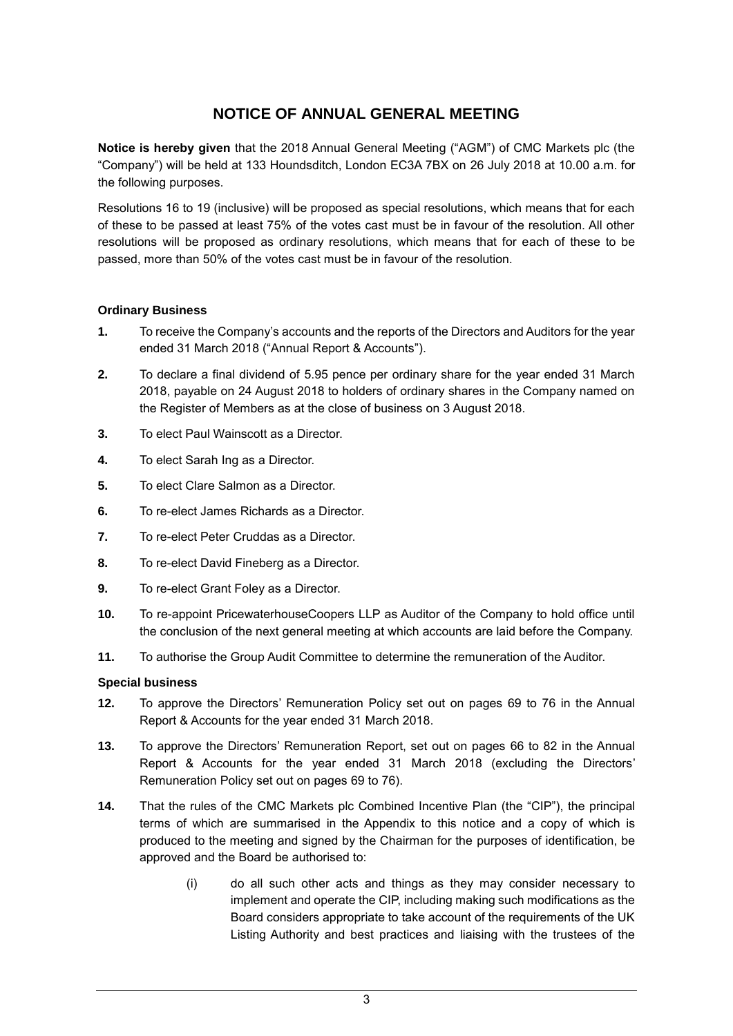# **NOTICE OF ANNUAL GENERAL MEETING**

**Notice is hereby given** that the 2018 Annual General Meeting ("AGM") of CMC Markets plc (the "Company") will be held at 133 Houndsditch, London EC3A 7BX on 26 July 2018 at 10.00 a.m. for the following purposes.

Resolutions 16 to 19 (inclusive) will be proposed as special resolutions, which means that for each of these to be passed at least 75% of the votes cast must be in favour of the resolution. All other resolutions will be proposed as ordinary resolutions, which means that for each of these to be passed, more than 50% of the votes cast must be in favour of the resolution.

#### **Ordinary Business**

- **1.** To receive the Company's accounts and the reports of the Directors and Auditors for the year ended 31 March 2018 ("Annual Report & Accounts").
- **2.** To declare a final dividend of 5.95 pence per ordinary share for the year ended 31 March 2018, payable on 24 August 2018 to holders of ordinary shares in the Company named on the Register of Members as at the close of business on 3 August 2018.
- **3.** To elect Paul Wainscott as a Director.
- **4.** To elect Sarah Ing as a Director.
- **5.** To elect Clare Salmon as a Director.
- **6.** To re-elect James Richards as a Director.
- **7.** To re-elect Peter Cruddas as a Director.
- **8.** To re-elect David Fineberg as a Director.
- **9.** To re-elect Grant Foley as a Director.
- **10.** To re-appoint PricewaterhouseCoopers LLP as Auditor of the Company to hold office until the conclusion of the next general meeting at which accounts are laid before the Company.
- **11.** To authorise the Group Audit Committee to determine the remuneration of the Auditor.

#### **Special business**

- **12.** To approve the Directors' Remuneration Policy set out on pages 69 to 76 in the Annual Report & Accounts for the year ended 31 March 2018.
- **13.** To approve the Directors' Remuneration Report, set out on pages 66 to 82 in the Annual Report & Accounts for the year ended 31 March 2018 (excluding the Directors' Remuneration Policy set out on pages 69 to 76).
- **14.** That the rules of the CMC Markets plc Combined Incentive Plan (the "CIP"), the principal terms of which are summarised in the Appendix to this notice and a copy of which is produced to the meeting and signed by the Chairman for the purposes of identification, be approved and the Board be authorised to:
	- (i) do all such other acts and things as they may consider necessary to implement and operate the CIP, including making such modifications as the Board considers appropriate to take account of the requirements of the UK Listing Authority and best practices and liaising with the trustees of the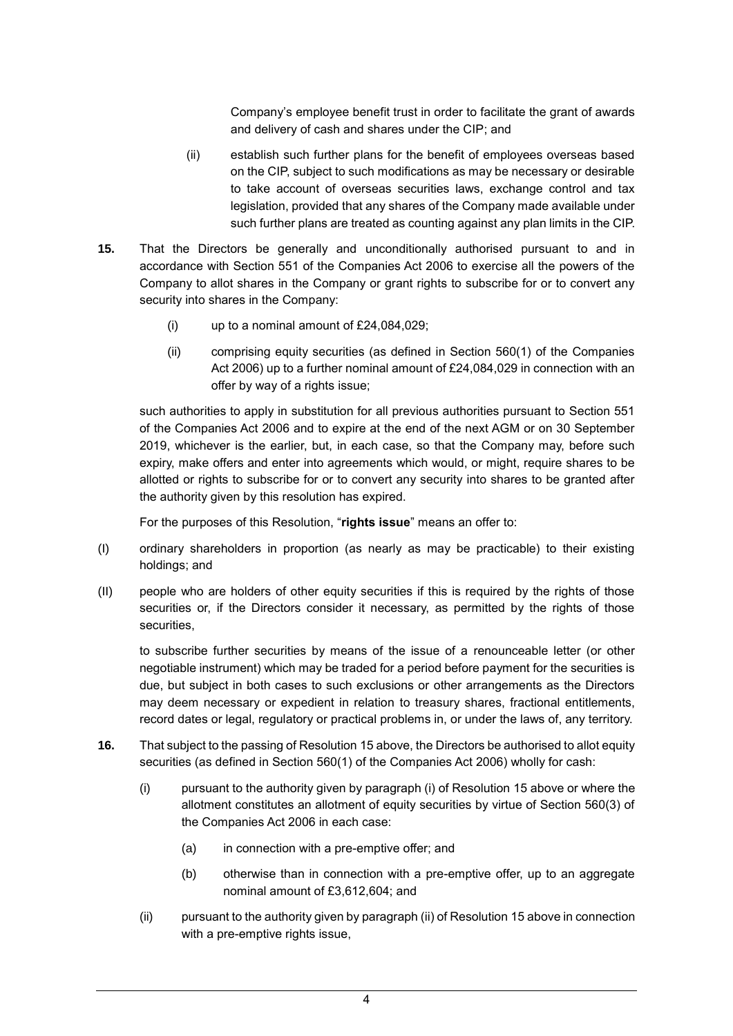Company's employee benefit trust in order to facilitate the grant of awards and delivery of cash and shares under the CIP; and

- (ii) establish such further plans for the benefit of employees overseas based on the CIP, subject to such modifications as may be necessary or desirable to take account of overseas securities laws, exchange control and tax legislation, provided that any shares of the Company made available under such further plans are treated as counting against any plan limits in the CIP.
- **15.** That the Directors be generally and unconditionally authorised pursuant to and in accordance with Section 551 of the Companies Act 2006 to exercise all the powers of the Company to allot shares in the Company or grant rights to subscribe for or to convert any security into shares in the Company:
	- (i) up to a nominal amount of £24,084,029;
	- (ii) comprising equity securities (as defined in Section 560(1) of the Companies Act 2006) up to a further nominal amount of £24,084,029 in connection with an offer by way of a rights issue;

such authorities to apply in substitution for all previous authorities pursuant to Section 551 of the Companies Act 2006 and to expire at the end of the next AGM or on 30 September 2019, whichever is the earlier, but, in each case, so that the Company may, before such expiry, make offers and enter into agreements which would, or might, require shares to be allotted or rights to subscribe for or to convert any security into shares to be granted after the authority given by this resolution has expired.

For the purposes of this Resolution, "**rights issue**" means an offer to:

- (I) ordinary shareholders in proportion (as nearly as may be practicable) to their existing holdings; and
- (II) people who are holders of other equity securities if this is required by the rights of those securities or, if the Directors consider it necessary, as permitted by the rights of those securities,

to subscribe further securities by means of the issue of a renounceable letter (or other negotiable instrument) which may be traded for a period before payment for the securities is due, but subject in both cases to such exclusions or other arrangements as the Directors may deem necessary or expedient in relation to treasury shares, fractional entitlements, record dates or legal, regulatory or practical problems in, or under the laws of, any territory.

- **16.** That subject to the passing of Resolution 15 above, the Directors be authorised to allot equity securities (as defined in Section 560(1) of the Companies Act 2006) wholly for cash:
	- (i) pursuant to the authority given by paragraph (i) of Resolution 15 above or where the allotment constitutes an allotment of equity securities by virtue of Section 560(3) of the Companies Act 2006 in each case:
		- (a) in connection with a pre-emptive offer; and
		- (b) otherwise than in connection with a pre-emptive offer, up to an aggregate nominal amount of £3,612,604; and
	- (ii) pursuant to the authority given by paragraph (ii) of Resolution 15 above in connection with a pre-emptive rights issue,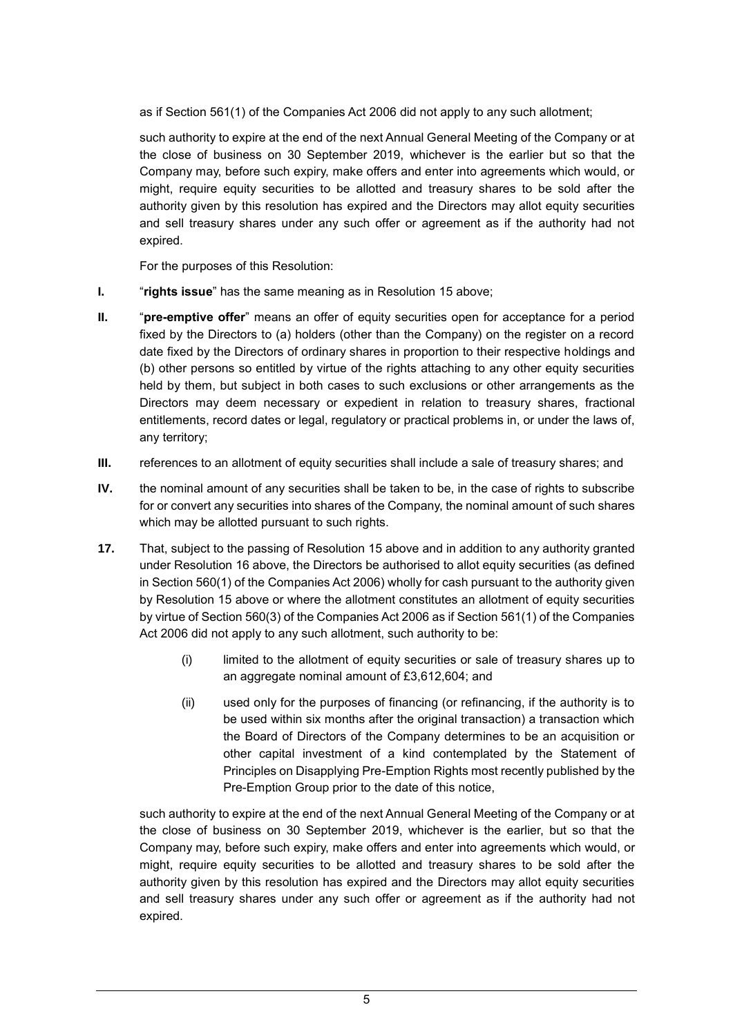as if Section 561(1) of the Companies Act 2006 did not apply to any such allotment;

such authority to expire at the end of the next Annual General Meeting of the Company or at the close of business on 30 September 2019, whichever is the earlier but so that the Company may, before such expiry, make offers and enter into agreements which would, or might, require equity securities to be allotted and treasury shares to be sold after the authority given by this resolution has expired and the Directors may allot equity securities and sell treasury shares under any such offer or agreement as if the authority had not expired.

For the purposes of this Resolution:

- **I.** "**rights issue**" has the same meaning as in Resolution 15 above;
- **II.** "**pre-emptive offer**" means an offer of equity securities open for acceptance for a period fixed by the Directors to (a) holders (other than the Company) on the register on a record date fixed by the Directors of ordinary shares in proportion to their respective holdings and (b) other persons so entitled by virtue of the rights attaching to any other equity securities held by them, but subject in both cases to such exclusions or other arrangements as the Directors may deem necessary or expedient in relation to treasury shares, fractional entitlements, record dates or legal, regulatory or practical problems in, or under the laws of, any territory;
- **III.** references to an allotment of equity securities shall include a sale of treasury shares; and
- **IV.** the nominal amount of any securities shall be taken to be, in the case of rights to subscribe for or convert any securities into shares of the Company, the nominal amount of such shares which may be allotted pursuant to such rights.
- **17.** That, subject to the passing of Resolution 15 above and in addition to any authority granted under Resolution 16 above, the Directors be authorised to allot equity securities (as defined in Section 560(1) of the Companies Act 2006) wholly for cash pursuant to the authority given by Resolution 15 above or where the allotment constitutes an allotment of equity securities by virtue of Section 560(3) of the Companies Act 2006 as if Section 561(1) of the Companies Act 2006 did not apply to any such allotment, such authority to be:
	- (i) limited to the allotment of equity securities or sale of treasury shares up to an aggregate nominal amount of £3,612,604; and
	- (ii) used only for the purposes of financing (or refinancing, if the authority is to be used within six months after the original transaction) a transaction which the Board of Directors of the Company determines to be an acquisition or other capital investment of a kind contemplated by the Statement of Principles on Disapplying Pre-Emption Rights most recently published by the Pre-Emption Group prior to the date of this notice,

such authority to expire at the end of the next Annual General Meeting of the Company or at the close of business on 30 September 2019, whichever is the earlier, but so that the Company may, before such expiry, make offers and enter into agreements which would, or might, require equity securities to be allotted and treasury shares to be sold after the authority given by this resolution has expired and the Directors may allot equity securities and sell treasury shares under any such offer or agreement as if the authority had not expired.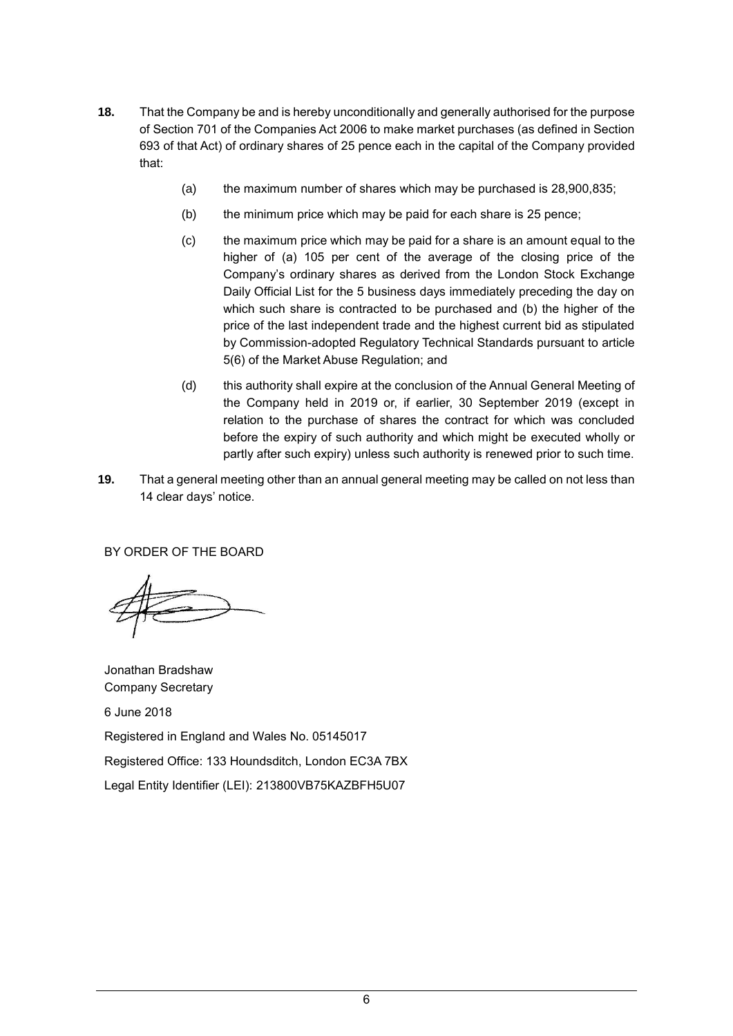- **18.** That the Company be and is hereby unconditionally and generally authorised for the purpose of Section 701 of the Companies Act 2006 to make market purchases (as defined in Section 693 of that Act) of ordinary shares of 25 pence each in the capital of the Company provided that:
	- (a) the maximum number of shares which may be purchased is 28,900,835;
	- (b) the minimum price which may be paid for each share is 25 pence;
	- (c) the maximum price which may be paid for a share is an amount equal to the higher of (a) 105 per cent of the average of the closing price of the Company's ordinary shares as derived from the London Stock Exchange Daily Official List for the 5 business days immediately preceding the day on which such share is contracted to be purchased and (b) the higher of the price of the last independent trade and the highest current bid as stipulated by Commission-adopted Regulatory Technical Standards pursuant to article 5(6) of the Market Abuse Regulation; and
	- (d) this authority shall expire at the conclusion of the Annual General Meeting of the Company held in 2019 or, if earlier, 30 September 2019 (except in relation to the purchase of shares the contract for which was concluded before the expiry of such authority and which might be executed wholly or partly after such expiry) unless such authority is renewed prior to such time.
- **19.** That a general meeting other than an annual general meeting may be called on not less than 14 clear days' notice.

BY ORDER OF THE BOARD

Jonathan Bradshaw Company Secretary 6 June 2018 Registered in England and Wales No. 05145017 Registered Office: 133 Houndsditch, London EC3A 7BX Legal Entity Identifier (LEI): 213800VB75KAZBFH5U07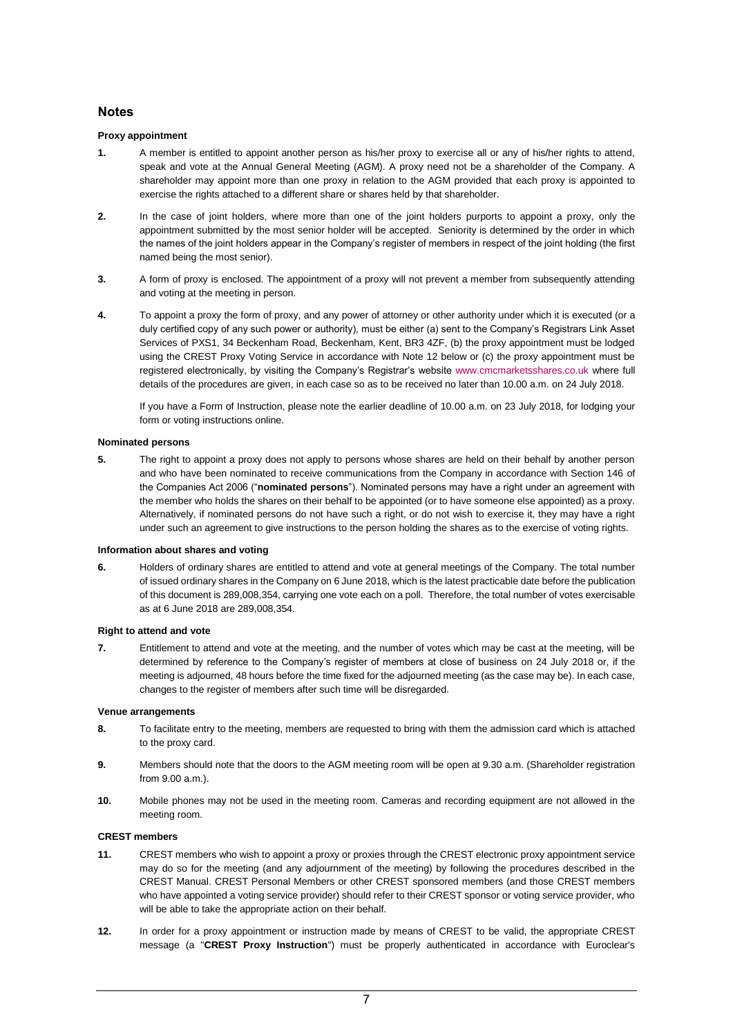#### **Notes**

#### **Proxy appointment**

- **1.** A member is entitled to appoint another person as his/her proxy to exercise all or any of his/her rights to attend, speak and vote at the Annual General Meeting (AGM). A proxy need not be a shareholder of the Company. A shareholder may appoint more than one proxy in relation to the AGM provided that each proxy is appointed to exercise the rights attached to a different share or shares held by that shareholder.
- **2.** In the case of joint holders, where more than one of the joint holders purports to appoint a proxy, only the appointment submitted by the most senior holder will be accepted. Seniority is determined by the order in which the names of the joint holders appear in the Company's register of members in respect of the joint holding (the first named being the most senior).
- **3.** A form of proxy is enclosed. The appointment of a proxy will not prevent a member from subsequently attending and voting at the meeting in person.
- **4.** To appoint a proxy the form of proxy, and any power of attorney or other authority under which it is executed (or a duly certified copy of any such power or authority), must be either (a) sent to the Company's Registrars Link Asset Services of PXS1, 34 Beckenham Road, Beckenham, Kent, BR3 4ZF, (b) the proxy appointment must be lodged using the CREST Proxy Voting Service in accordance with Note 12 below or (c) the proxy appointment must be registered electronically, by visiting the Company's Registrar's website [www.cmcmarketsshares.co.uk](http://www.capitashareportal.com/) where full details of the procedures are given, in each case so as to be received no later than 10.00 a.m. on 24 July 2018.

If you have a Form of Instruction, please note the earlier deadline of 10.00 a.m. on 23 July 2018, for lodging your form or voting instructions online.

#### **Nominated persons**

**5.** The right to appoint a proxy does not apply to persons whose shares are held on their behalf by another person and who have been nominated to receive communications from the Company in accordance with Section 146 of the Companies Act 2006 ("**nominated persons**"). Nominated persons may have a right under an agreement with the member who holds the shares on their behalf to be appointed (or to have someone else appointed) as a proxy. Alternatively, if nominated persons do not have such a right, or do not wish to exercise it, they may have a right under such an agreement to give instructions to the person holding the shares as to the exercise of voting rights.

#### **Information about shares and voting**

**6.** Holders of ordinary shares are entitled to attend and vote at general meetings of the Company. The total number of issued ordinary shares in the Company on 6 June 2018, which is the latest practicable date before the publication of this document is 289,008,354, carrying one vote each on a poll. Therefore, the total number of votes exercisable as at 6 June 2018 are 289,008,354.

#### **Right to attend and vote**

**7.** Entitlement to attend and vote at the meeting, and the number of votes which may be cast at the meeting, will be determined by reference to the Company's register of members at close of business on 24 July 2018 or, if the meeting is adjourned, 48 hours before the time fixed for the adjourned meeting (as the case may be). In each case, changes to the register of members after such time will be disregarded.

#### **Venue arrangements**

- **8.** To facilitate entry to the meeting, members are requested to bring with them the admission card which is attached to the proxy card.
- **9.** Members should note that the doors to the AGM meeting room will be open at 9.30 a.m. (Shareholder registration from 9.00 a.m.).
- **10.** Mobile phones may not be used in the meeting room. Cameras and recording equipment are not allowed in the meeting room.

#### **CREST members**

- **11.** CREST members who wish to appoint a proxy or proxies through the CREST electronic proxy appointment service may do so for the meeting (and any adjournment of the meeting) by following the procedures described in the CREST Manual. CREST Personal Members or other CREST sponsored members (and those CREST members who have appointed a voting service provider) should refer to their CREST sponsor or voting service provider, who will be able to take the appropriate action on their behalf.
- **12.** In order for a proxy appointment or instruction made by means of CREST to be valid, the appropriate CREST message (a "**CREST Proxy Instruction**") must be properly authenticated in accordance with Euroclear's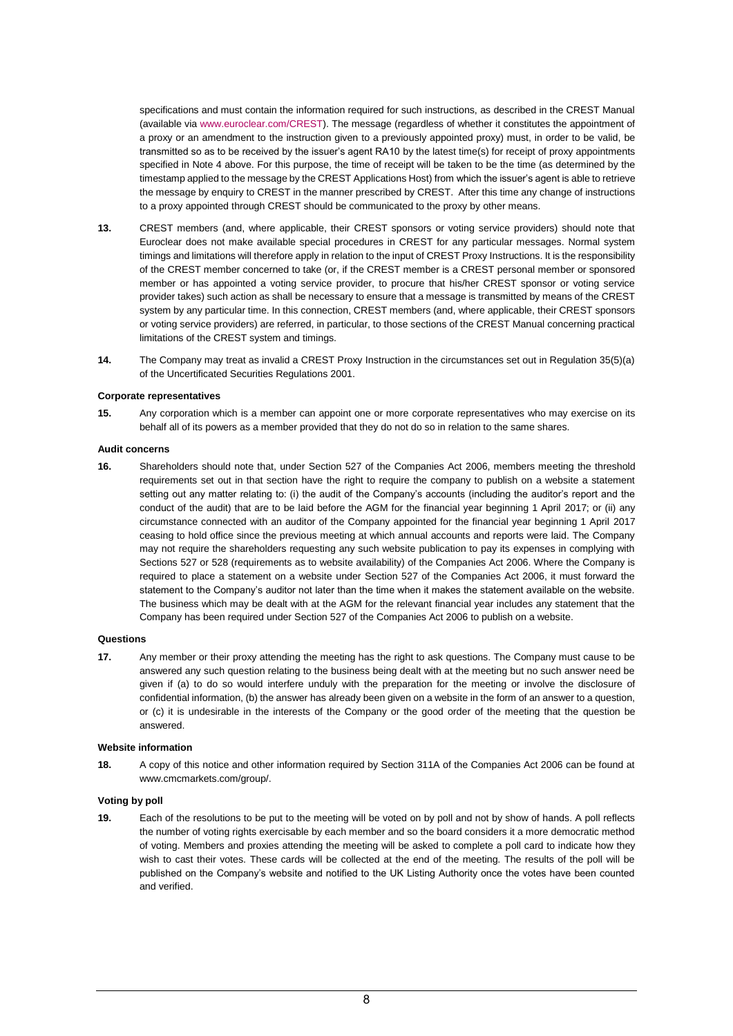specifications and must contain the information required for such instructions, as described in the CREST Manual (available via [www.euroclear.com/CREST\)](file://///erepfs01/Home_012$/szcurtis/My%20Documents/www.euroclear.com/CREST). The message (regardless of whether it constitutes the appointment of a proxy or an amendment to the instruction given to a previously appointed proxy) must, in order to be valid, be transmitted so as to be received by the issuer's agent RA10 by the latest time(s) for receipt of proxy appointments specified in Note 4 above. For this purpose, the time of receipt will be taken to be the time (as determined by the timestamp applied to the message by the CREST Applications Host) from which the issuer's agent is able to retrieve the message by enquiry to CREST in the manner prescribed by CREST. After this time any change of instructions to a proxy appointed through CREST should be communicated to the proxy by other means.

- **13.** CREST members (and, where applicable, their CREST sponsors or voting service providers) should note that Euroclear does not make available special procedures in CREST for any particular messages. Normal system timings and limitations will therefore apply in relation to the input of CREST Proxy Instructions. It is the responsibility of the CREST member concerned to take (or, if the CREST member is a CREST personal member or sponsored member or has appointed a voting service provider, to procure that his/her CREST sponsor or voting service provider takes) such action as shall be necessary to ensure that a message is transmitted by means of the CREST system by any particular time. In this connection, CREST members (and, where applicable, their CREST sponsors or voting service providers) are referred, in particular, to those sections of the CREST Manual concerning practical limitations of the CREST system and timings.
- **14.** The Company may treat as invalid a CREST Proxy Instruction in the circumstances set out in Regulation 35(5)(a) of the Uncertificated Securities Regulations 2001.

#### **Corporate representatives**

**15.** Any corporation which is a member can appoint one or more corporate representatives who may exercise on its behalf all of its powers as a member provided that they do not do so in relation to the same shares.

#### **Audit concerns**

**16.** Shareholders should note that, under Section 527 of the Companies Act 2006, members meeting the threshold requirements set out in that section have the right to require the company to publish on a website a statement setting out any matter relating to: (i) the audit of the Company's accounts (including the auditor's report and the conduct of the audit) that are to be laid before the AGM for the financial year beginning 1 April 2017; or (ii) any circumstance connected with an auditor of the Company appointed for the financial year beginning 1 April 2017 ceasing to hold office since the previous meeting at which annual accounts and reports were laid. The Company may not require the shareholders requesting any such website publication to pay its expenses in complying with Sections 527 or 528 (requirements as to website availability) of the Companies Act 2006. Where the Company is required to place a statement on a website under Section 527 of the Companies Act 2006, it must forward the statement to the Company's auditor not later than the time when it makes the statement available on the website. The business which may be dealt with at the AGM for the relevant financial year includes any statement that the Company has been required under Section 527 of the Companies Act 2006 to publish on a website.

#### **Questions**

**17.** Any member or their proxy attending the meeting has the right to ask questions. The Company must cause to be answered any such question relating to the business being dealt with at the meeting but no such answer need be given if (a) to do so would interfere unduly with the preparation for the meeting or involve the disclosure of confidential information, (b) the answer has already been given on a website in the form of an answer to a question, or (c) it is undesirable in the interests of the Company or the good order of the meeting that the question be answered.

#### **Website information**

**18.** A copy of this notice and other information required by Section 311A of the Companies Act 2006 can be found at www.cmcmarkets.com/group/.

#### **Voting by poll**

**19.** Each of the resolutions to be put to the meeting will be voted on by poll and not by show of hands. A poll reflects the number of voting rights exercisable by each member and so the board considers it a more democratic method of voting. Members and proxies attending the meeting will be asked to complete a poll card to indicate how they wish to cast their votes. These cards will be collected at the end of the meeting. The results of the poll will be published on the Company's website and notified to the UK Listing Authority once the votes have been counted and verified.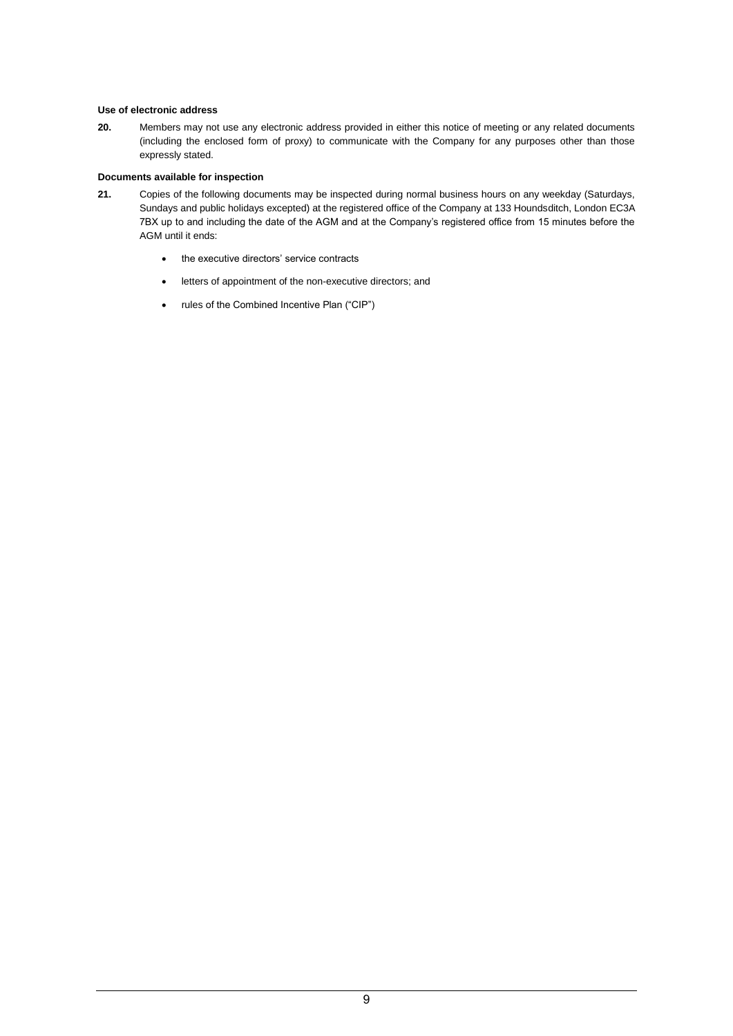#### **Use of electronic address**

**20.** Members may not use any electronic address provided in either this notice of meeting or any related documents (including the enclosed form of proxy) to communicate with the Company for any purposes other than those expressly stated.

#### **Documents available for inspection**

- **21.** Copies of the following documents may be inspected during normal business hours on any weekday (Saturdays, Sundays and public holidays excepted) at the registered office of the Company at 133 Houndsditch, London EC3A 7BX up to and including the date of the AGM and at the Company's registered office from 15 minutes before the AGM until it ends:
	- the executive directors' service contracts
	- letters of appointment of the non-executive directors; and
	- rules of the Combined Incentive Plan ("CIP")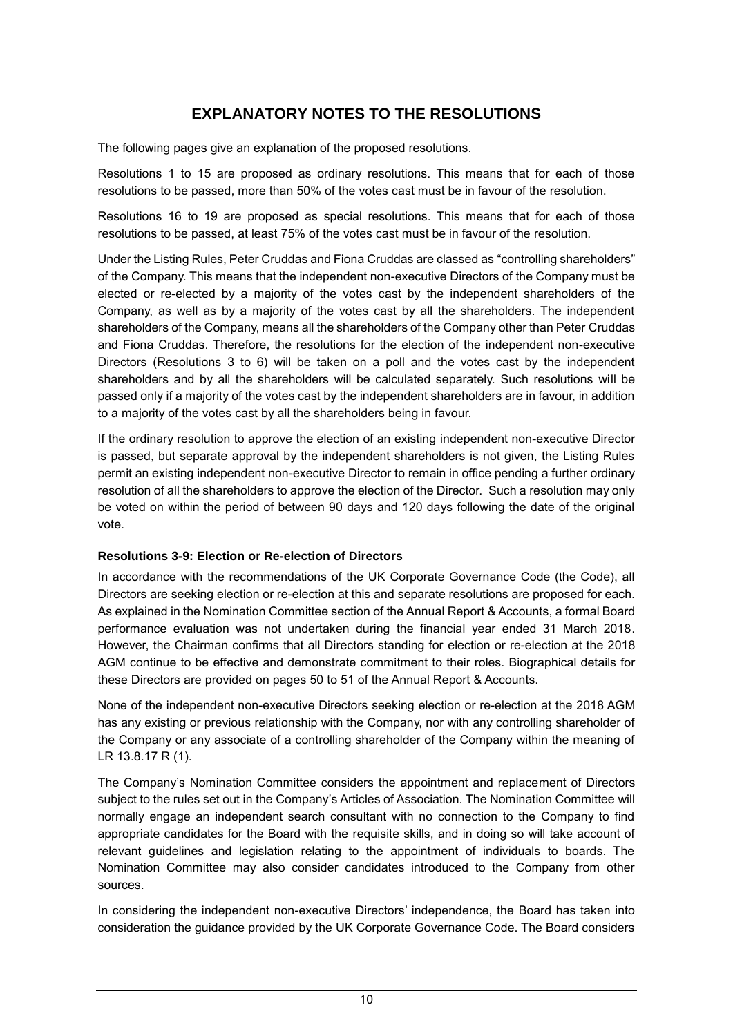# **EXPLANATORY NOTES TO THE RESOLUTIONS**

The following pages give an explanation of the proposed resolutions.

Resolutions 1 to 15 are proposed as ordinary resolutions. This means that for each of those resolutions to be passed, more than 50% of the votes cast must be in favour of the resolution.

Resolutions 16 to 19 are proposed as special resolutions. This means that for each of those resolutions to be passed, at least 75% of the votes cast must be in favour of the resolution.

Under the Listing Rules, Peter Cruddas and Fiona Cruddas are classed as "controlling shareholders" of the Company. This means that the independent non-executive Directors of the Company must be elected or re-elected by a majority of the votes cast by the independent shareholders of the Company, as well as by a majority of the votes cast by all the shareholders. The independent shareholders of the Company, means all the shareholders of the Company other than Peter Cruddas and Fiona Cruddas. Therefore, the resolutions for the election of the independent non-executive Directors (Resolutions 3 to 6) will be taken on a poll and the votes cast by the independent shareholders and by all the shareholders will be calculated separately. Such resolutions will be passed only if a majority of the votes cast by the independent shareholders are in favour, in addition to a majority of the votes cast by all the shareholders being in favour.

If the ordinary resolution to approve the election of an existing independent non-executive Director is passed, but separate approval by the independent shareholders is not given, the Listing Rules permit an existing independent non-executive Director to remain in office pending a further ordinary resolution of all the shareholders to approve the election of the Director. Such a resolution may only be voted on within the period of between 90 days and 120 days following the date of the original vote.

### **Resolutions 3-9: Election or Re-election of Directors**

In accordance with the recommendations of the UK Corporate Governance Code (the Code), all Directors are seeking election or re-election at this and separate resolutions are proposed for each. As explained in the Nomination Committee section of the Annual Report & Accounts, a formal Board performance evaluation was not undertaken during the financial year ended 31 March 2018. However, the Chairman confirms that all Directors standing for election or re-election at the 2018 AGM continue to be effective and demonstrate commitment to their roles. Biographical details for these Directors are provided on pages 50 to 51 of the Annual Report & Accounts.

None of the independent non-executive Directors seeking election or re-election at the 2018 AGM has any existing or previous relationship with the Company, nor with any controlling shareholder of the Company or any associate of a controlling shareholder of the Company within the meaning of LR 13.8.17 R (1).

The Company's Nomination Committee considers the appointment and replacement of Directors subject to the rules set out in the Company's Articles of Association. The Nomination Committee will normally engage an independent search consultant with no connection to the Company to find appropriate candidates for the Board with the requisite skills, and in doing so will take account of relevant guidelines and legislation relating to the appointment of individuals to boards. The Nomination Committee may also consider candidates introduced to the Company from other sources.

In considering the independent non-executive Directors' independence, the Board has taken into consideration the guidance provided by the UK Corporate Governance Code. The Board considers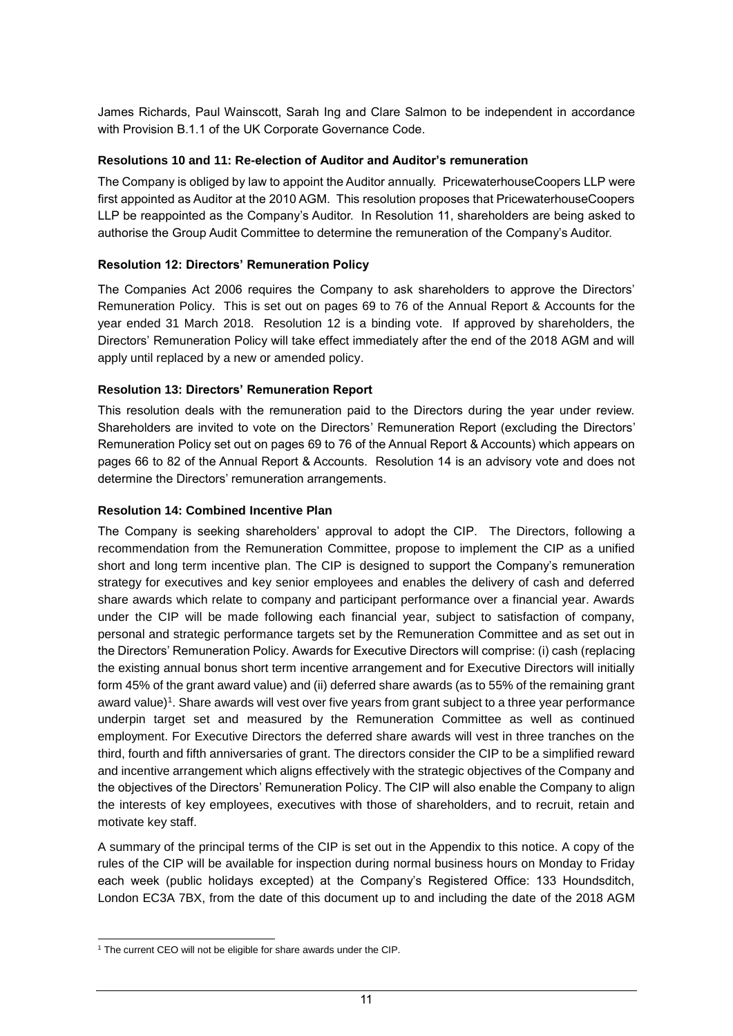James Richards, Paul Wainscott, Sarah Ing and Clare Salmon to be independent in accordance with Provision B.1.1 of the UK Corporate Governance Code.

#### **Resolutions 10 and 11: Re-election of Auditor and Auditor's remuneration**

The Company is obliged by law to appoint the Auditor annually. PricewaterhouseCoopers LLP were first appointed as Auditor at the 2010 AGM. This resolution proposes that PricewaterhouseCoopers LLP be reappointed as the Company's Auditor. In Resolution 11, shareholders are being asked to authorise the Group Audit Committee to determine the remuneration of the Company's Auditor.

#### **Resolution 12: Directors' Remuneration Policy**

The Companies Act 2006 requires the Company to ask shareholders to approve the Directors' Remuneration Policy. This is set out on pages 69 to 76 of the Annual Report & Accounts for the year ended 31 March 2018. Resolution 12 is a binding vote. If approved by shareholders, the Directors' Remuneration Policy will take effect immediately after the end of the 2018 AGM and will apply until replaced by a new or amended policy.

#### **Resolution 13: Directors' Remuneration Report**

This resolution deals with the remuneration paid to the Directors during the year under review. Shareholders are invited to vote on the Directors' Remuneration Report (excluding the Directors' Remuneration Policy set out on pages 69 to 76 of the Annual Report & Accounts) which appears on pages 66 to 82 of the Annual Report & Accounts. Resolution 14 is an advisory vote and does not determine the Directors' remuneration arrangements.

#### **Resolution 14: Combined Incentive Plan**

The Company is seeking shareholders' approval to adopt the CIP. The Directors, following a recommendation from the Remuneration Committee, propose to implement the CIP as a unified short and long term incentive plan. The CIP is designed to support the Company's remuneration strategy for executives and key senior employees and enables the delivery of cash and deferred share awards which relate to company and participant performance over a financial year. Awards under the CIP will be made following each financial year, subject to satisfaction of company, personal and strategic performance targets set by the Remuneration Committee and as set out in the Directors' Remuneration Policy. Awards for Executive Directors will comprise: (i) cash (replacing the existing annual bonus short term incentive arrangement and for Executive Directors will initially form 45% of the grant award value) and (ii) deferred share awards (as to 55% of the remaining grant award value) 1 . Share awards will vest over five years from grant subject to a three year performance underpin target set and measured by the Remuneration Committee as well as continued employment. For Executive Directors the deferred share awards will vest in three tranches on the third, fourth and fifth anniversaries of grant. The directors consider the CIP to be a simplified reward and incentive arrangement which aligns effectively with the strategic objectives of the Company and the objectives of the Directors' Remuneration Policy. The CIP will also enable the Company to align the interests of key employees, executives with those of shareholders, and to recruit, retain and motivate key staff.

A summary of the principal terms of the CIP is set out in the Appendix to this notice. A copy of the rules of the CIP will be available for inspection during normal business hours on Monday to Friday each week (public holidays excepted) at the Company's Registered Office: 133 Houndsditch, London EC3A 7BX, from the date of this document up to and including the date of the 2018 AGM

<sup>1</sup> <sup>1</sup> The current CEO will not be eligible for share awards under the CIP.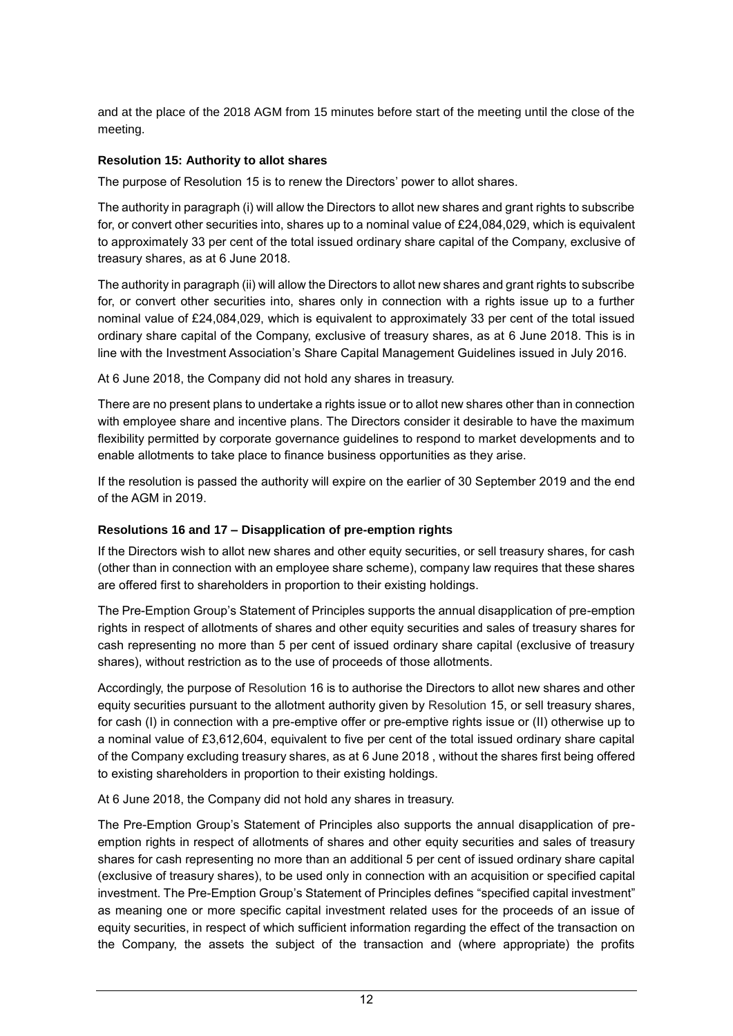and at the place of the 2018 AGM from 15 minutes before start of the meeting until the close of the meeting.

### **Resolution 15: Authority to allot shares**

The purpose of Resolution 15 is to renew the Directors' power to allot shares.

The authority in paragraph (i) will allow the Directors to allot new shares and grant rights to subscribe for, or convert other securities into, shares up to a nominal value of £24,084,029, which is equivalent to approximately 33 per cent of the total issued ordinary share capital of the Company, exclusive of treasury shares, as at 6 June 2018.

The authority in paragraph (ii) will allow the Directors to allot new shares and grant rights to subscribe for, or convert other securities into, shares only in connection with a rights issue up to a further nominal value of £24,084,029, which is equivalent to approximately 33 per cent of the total issued ordinary share capital of the Company, exclusive of treasury shares, as at 6 June 2018. This is in line with the Investment Association's Share Capital Management Guidelines issued in July 2016.

At 6 June 2018, the Company did not hold any shares in treasury.

There are no present plans to undertake a rights issue or to allot new shares other than in connection with employee share and incentive plans. The Directors consider it desirable to have the maximum flexibility permitted by corporate governance guidelines to respond to market developments and to enable allotments to take place to finance business opportunities as they arise.

If the resolution is passed the authority will expire on the earlier of 30 September 2019 and the end of the AGM in 2019.

### **Resolutions 16 and 17 – Disapplication of pre-emption rights**

If the Directors wish to allot new shares and other equity securities, or sell treasury shares, for cash (other than in connection with an employee share scheme), company law requires that these shares are offered first to shareholders in proportion to their existing holdings.

The Pre-Emption Group's Statement of Principles supports the annual disapplication of pre-emption rights in respect of allotments of shares and other equity securities and sales of treasury shares for cash representing no more than 5 per cent of issued ordinary share capital (exclusive of treasury shares), without restriction as to the use of proceeds of those allotments.

Accordingly, the purpose of Resolution 16 is to authorise the Directors to allot new shares and other equity securities pursuant to the allotment authority given by Resolution 15, or sell treasury shares, for cash (I) in connection with a pre-emptive offer or pre-emptive rights issue or (II) otherwise up to a nominal value of £3,612,604, equivalent to five per cent of the total issued ordinary share capital of the Company excluding treasury shares, as at 6 June 2018 , without the shares first being offered to existing shareholders in proportion to their existing holdings.

At 6 June 2018, the Company did not hold any shares in treasury.

The Pre-Emption Group's Statement of Principles also supports the annual disapplication of preemption rights in respect of allotments of shares and other equity securities and sales of treasury shares for cash representing no more than an additional 5 per cent of issued ordinary share capital (exclusive of treasury shares), to be used only in connection with an acquisition or specified capital investment. The Pre-Emption Group's Statement of Principles defines "specified capital investment" as meaning one or more specific capital investment related uses for the proceeds of an issue of equity securities, in respect of which sufficient information regarding the effect of the transaction on the Company, the assets the subject of the transaction and (where appropriate) the profits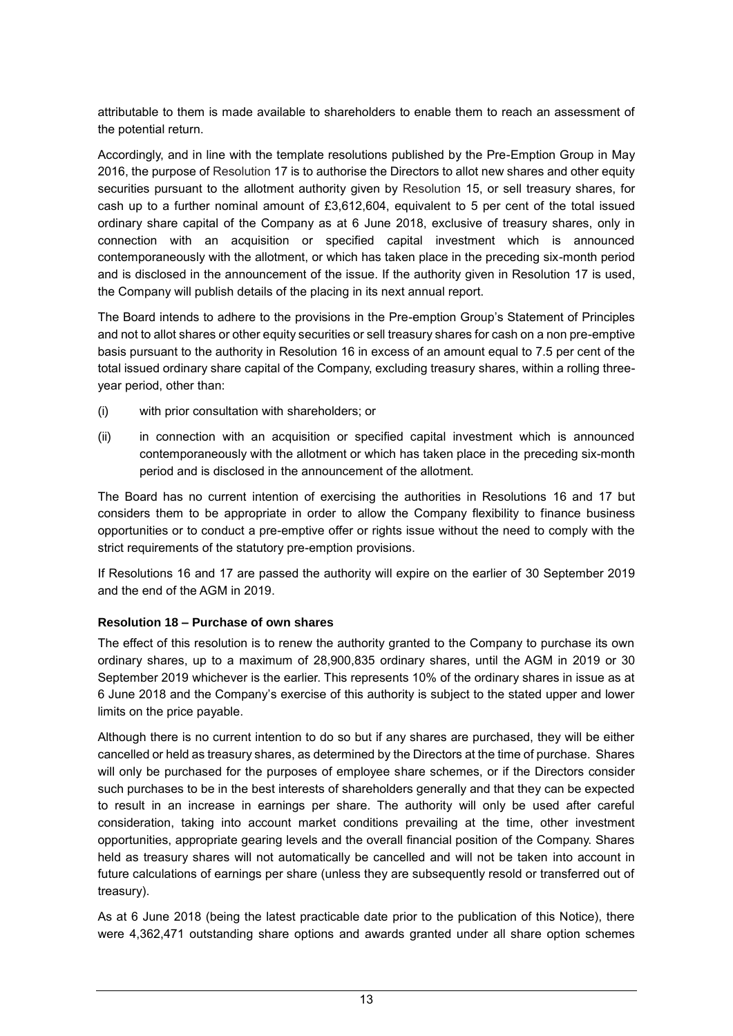attributable to them is made available to shareholders to enable them to reach an assessment of the potential return.

Accordingly, and in line with the template resolutions published by the Pre-Emption Group in May 2016, the purpose of Resolution 17 is to authorise the Directors to allot new shares and other equity securities pursuant to the allotment authority given by Resolution 15, or sell treasury shares, for cash up to a further nominal amount of £3,612,604, equivalent to 5 per cent of the total issued ordinary share capital of the Company as at 6 June 2018, exclusive of treasury shares, only in connection with an acquisition or specified capital investment which is announced contemporaneously with the allotment, or which has taken place in the preceding six-month period and is disclosed in the announcement of the issue. If the authority given in Resolution 17 is used, the Company will publish details of the placing in its next annual report.

The Board intends to adhere to the provisions in the Pre-emption Group's Statement of Principles and not to allot shares or other equity securities or sell treasury shares for cash on a non pre-emptive basis pursuant to the authority in Resolution 16 in excess of an amount equal to 7.5 per cent of the total issued ordinary share capital of the Company, excluding treasury shares, within a rolling threeyear period, other than:

- (i) with prior consultation with shareholders; or
- (ii) in connection with an acquisition or specified capital investment which is announced contemporaneously with the allotment or which has taken place in the preceding six-month period and is disclosed in the announcement of the allotment.

The Board has no current intention of exercising the authorities in Resolutions 16 and 17 but considers them to be appropriate in order to allow the Company flexibility to finance business opportunities or to conduct a pre-emptive offer or rights issue without the need to comply with the strict requirements of the statutory pre-emption provisions.

If Resolutions 16 and 17 are passed the authority will expire on the earlier of 30 September 2019 and the end of the AGM in 2019.

### **Resolution 18 – Purchase of own shares**

The effect of this resolution is to renew the authority granted to the Company to purchase its own ordinary shares, up to a maximum of 28,900,835 ordinary shares, until the AGM in 2019 or 30 September 2019 whichever is the earlier. This represents 10% of the ordinary shares in issue as at 6 June 2018 and the Company's exercise of this authority is subject to the stated upper and lower limits on the price payable.

Although there is no current intention to do so but if any shares are purchased, they will be either cancelled or held as treasury shares, as determined by the Directors at the time of purchase. Shares will only be purchased for the purposes of employee share schemes, or if the Directors consider such purchases to be in the best interests of shareholders generally and that they can be expected to result in an increase in earnings per share. The authority will only be used after careful consideration, taking into account market conditions prevailing at the time, other investment opportunities, appropriate gearing levels and the overall financial position of the Company. Shares held as treasury shares will not automatically be cancelled and will not be taken into account in future calculations of earnings per share (unless they are subsequently resold or transferred out of treasury).

As at 6 June 2018 (being the latest practicable date prior to the publication of this Notice), there were 4,362,471 outstanding share options and awards granted under all share option schemes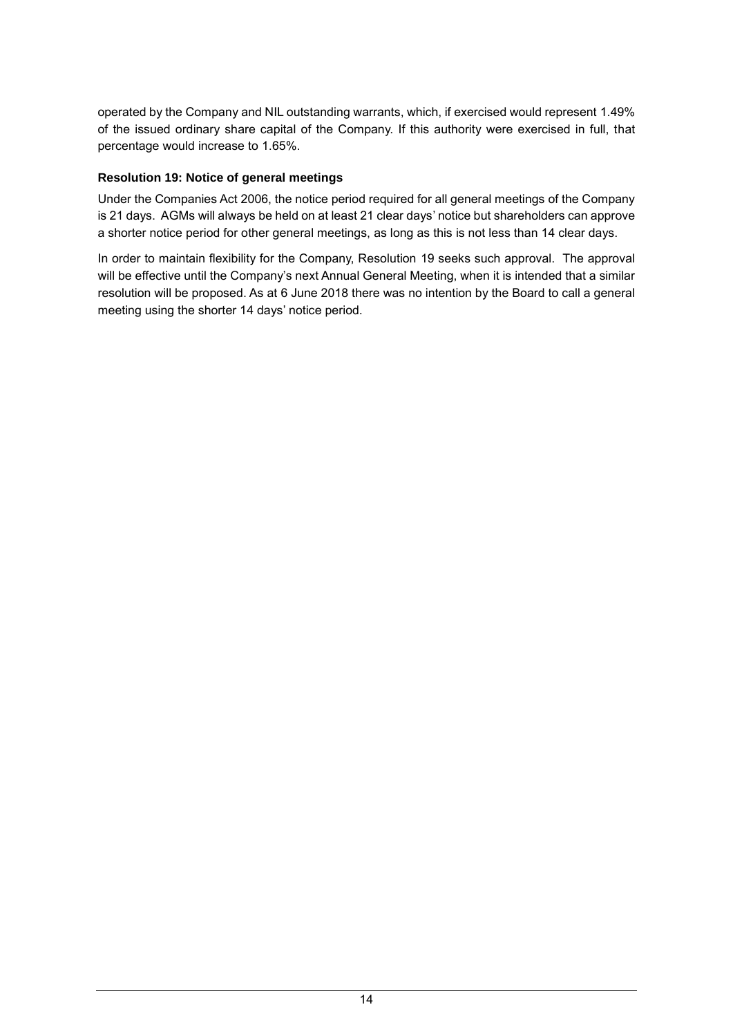operated by the Company and NIL outstanding warrants, which, if exercised would represent 1.49% of the issued ordinary share capital of the Company. If this authority were exercised in full, that percentage would increase to 1.65%.

### **Resolution 19: Notice of general meetings**

Under the Companies Act 2006, the notice period required for all general meetings of the Company is 21 days. AGMs will always be held on at least 21 clear days' notice but shareholders can approve a shorter notice period for other general meetings, as long as this is not less than 14 clear days.

In order to maintain flexibility for the Company, Resolution 19 seeks such approval. The approval will be effective until the Company's next Annual General Meeting, when it is intended that a similar resolution will be proposed. As at 6 June 2018 there was no intention by the Board to call a general meeting using the shorter 14 days' notice period.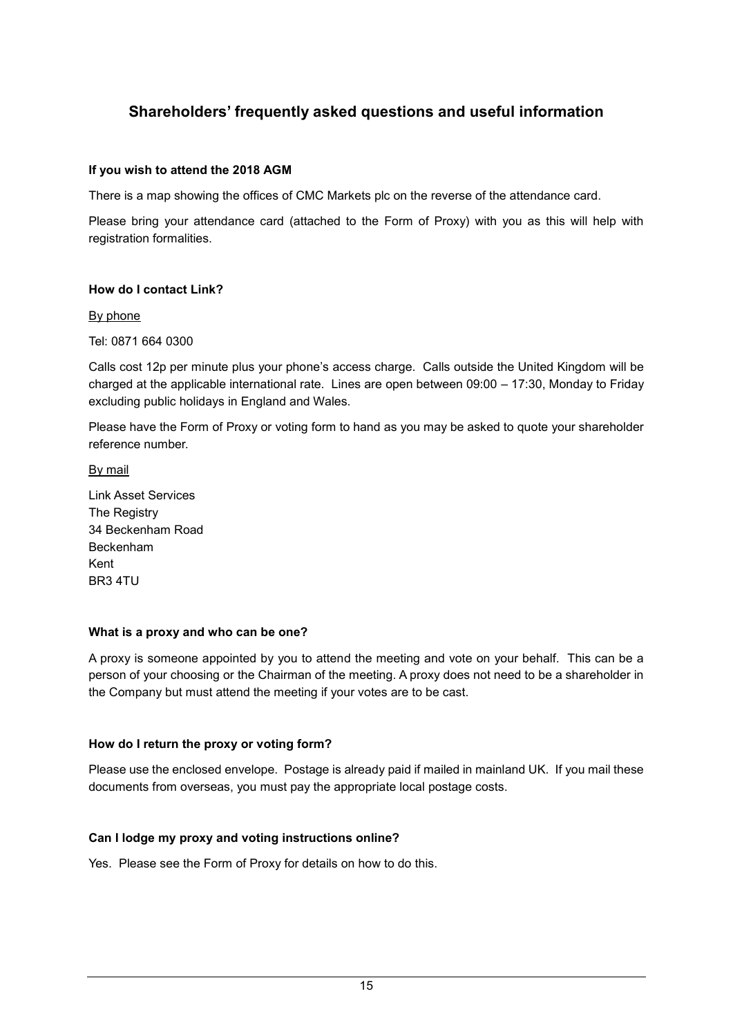# **Shareholders' frequently asked questions and useful information**

#### **If you wish to attend the 2018 AGM**

There is a map showing the offices of CMC Markets plc on the reverse of the attendance card.

Please bring your attendance card (attached to the Form of Proxy) with you as this will help with registration formalities.

#### **How do I contact Link?**

#### By phone

Tel: 0871 664 0300

Calls cost 12p per minute plus your phone's access charge. Calls outside the United Kingdom will be charged at the applicable international rate. Lines are open between 09:00 – 17:30, Monday to Friday excluding public holidays in England and Wales.

Please have the Form of Proxy or voting form to hand as you may be asked to quote your shareholder reference number.

By mail

Link Asset Services The Registry 34 Beckenham Road Beckenham Kent BR3 4TU

#### **What is a proxy and who can be one?**

A proxy is someone appointed by you to attend the meeting and vote on your behalf. This can be a person of your choosing or the Chairman of the meeting. A proxy does not need to be a shareholder in the Company but must attend the meeting if your votes are to be cast.

### **How do I return the proxy or voting form?**

Please use the enclosed envelope. Postage is already paid if mailed in mainland UK. If you mail these documents from overseas, you must pay the appropriate local postage costs.

### **Can I lodge my proxy and voting instructions online?**

Yes. Please see the Form of Proxy for details on how to do this.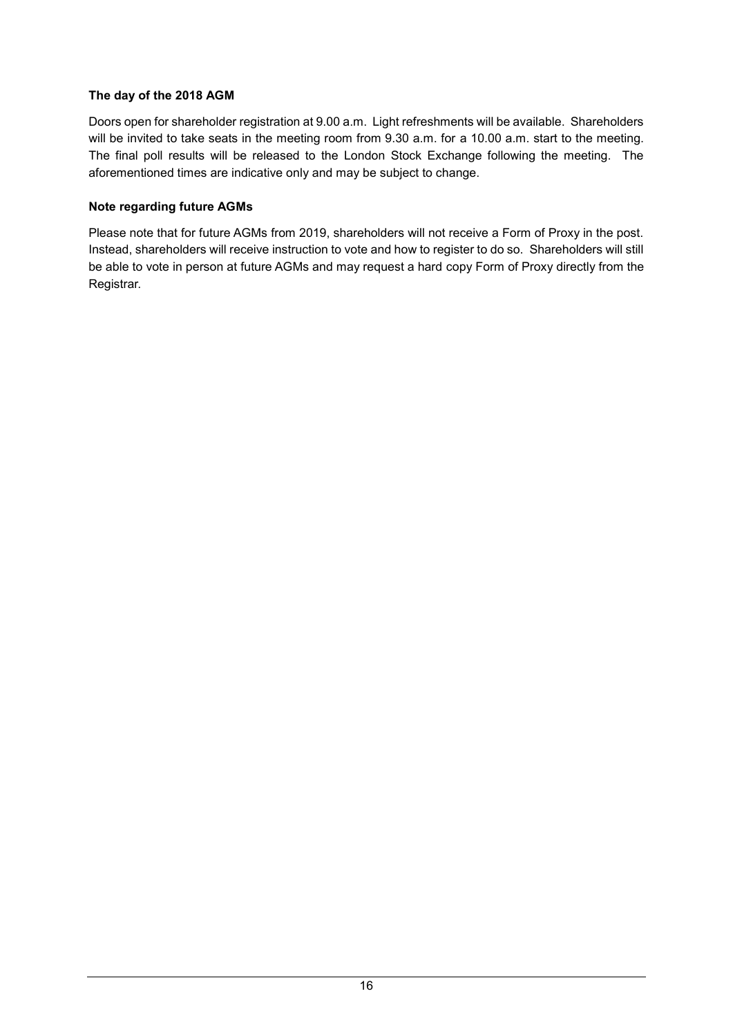### **The day of the 2018 AGM**

Doors open for shareholder registration at 9.00 a.m. Light refreshments will be available. Shareholders will be invited to take seats in the meeting room from 9.30 a.m. for a 10.00 a.m. start to the meeting. The final poll results will be released to the London Stock Exchange following the meeting. The aforementioned times are indicative only and may be subject to change.

### **Note regarding future AGMs**

Please note that for future AGMs from 2019, shareholders will not receive a Form of Proxy in the post. Instead, shareholders will receive instruction to vote and how to register to do so. Shareholders will still be able to vote in person at future AGMs and may request a hard copy Form of Proxy directly from the Registrar.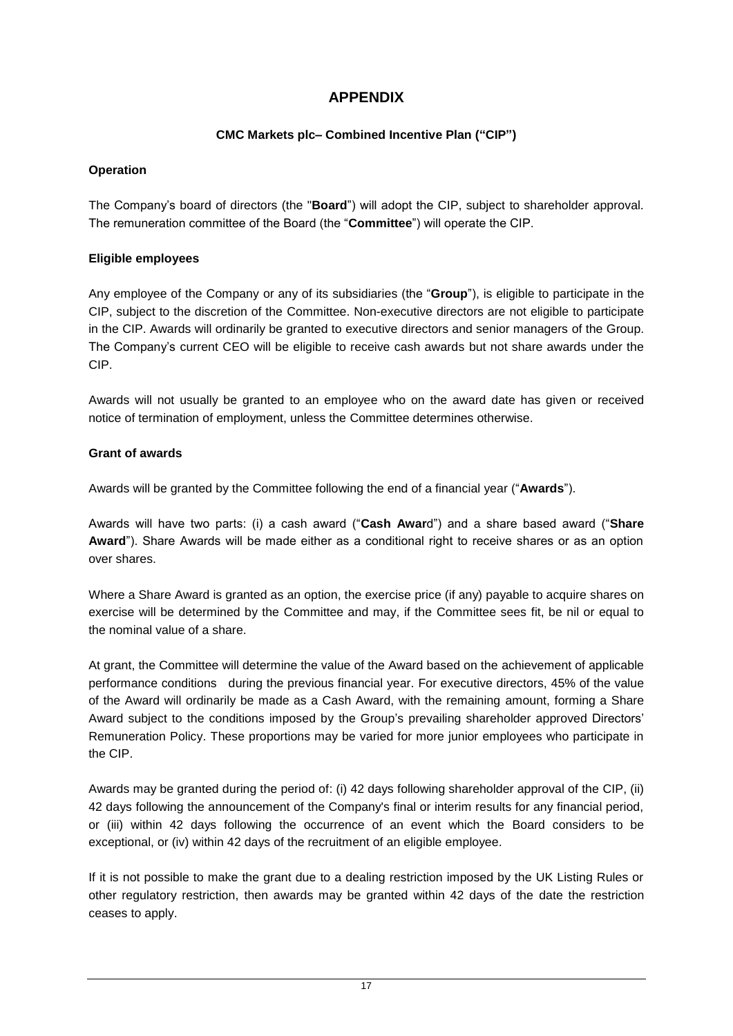# **APPENDIX**

### **CMC Markets plc– Combined Incentive Plan ("CIP")**

### **Operation**

The Company's board of directors (the "**Board**") will adopt the CIP, subject to shareholder approval. The remuneration committee of the Board (the "**Committee**") will operate the CIP.

### **Eligible employees**

Any employee of the Company or any of its subsidiaries (the "**Group**"), is eligible to participate in the CIP, subject to the discretion of the Committee. Non-executive directors are not eligible to participate in the CIP. Awards will ordinarily be granted to executive directors and senior managers of the Group. The Company's current CEO will be eligible to receive cash awards but not share awards under the CIP.

Awards will not usually be granted to an employee who on the award date has given or received notice of termination of employment, unless the Committee determines otherwise.

### **Grant of awards**

Awards will be granted by the Committee following the end of a financial year ("**Awards**").

Awards will have two parts: (i) a cash award ("**Cash Awar**d") and a share based award ("**Share Award**"). Share Awards will be made either as a conditional right to receive shares or as an option over shares.

Where a Share Award is granted as an option, the exercise price (if any) payable to acquire shares on exercise will be determined by the Committee and may, if the Committee sees fit, be nil or equal to the nominal value of a share.

At grant, the Committee will determine the value of the Award based on the achievement of applicable performance conditions during the previous financial year. For executive directors, 45% of the value of the Award will ordinarily be made as a Cash Award, with the remaining amount, forming a Share Award subject to the conditions imposed by the Group's prevailing shareholder approved Directors' Remuneration Policy. These proportions may be varied for more junior employees who participate in the CIP.

Awards may be granted during the period of: (i) 42 days following shareholder approval of the CIP, (ii) 42 days following the announcement of the Company's final or interim results for any financial period, or (iii) within 42 days following the occurrence of an event which the Board considers to be exceptional, or (iv) within 42 days of the recruitment of an eligible employee.

If it is not possible to make the grant due to a dealing restriction imposed by the UK Listing Rules or other regulatory restriction, then awards may be granted within 42 days of the date the restriction ceases to apply.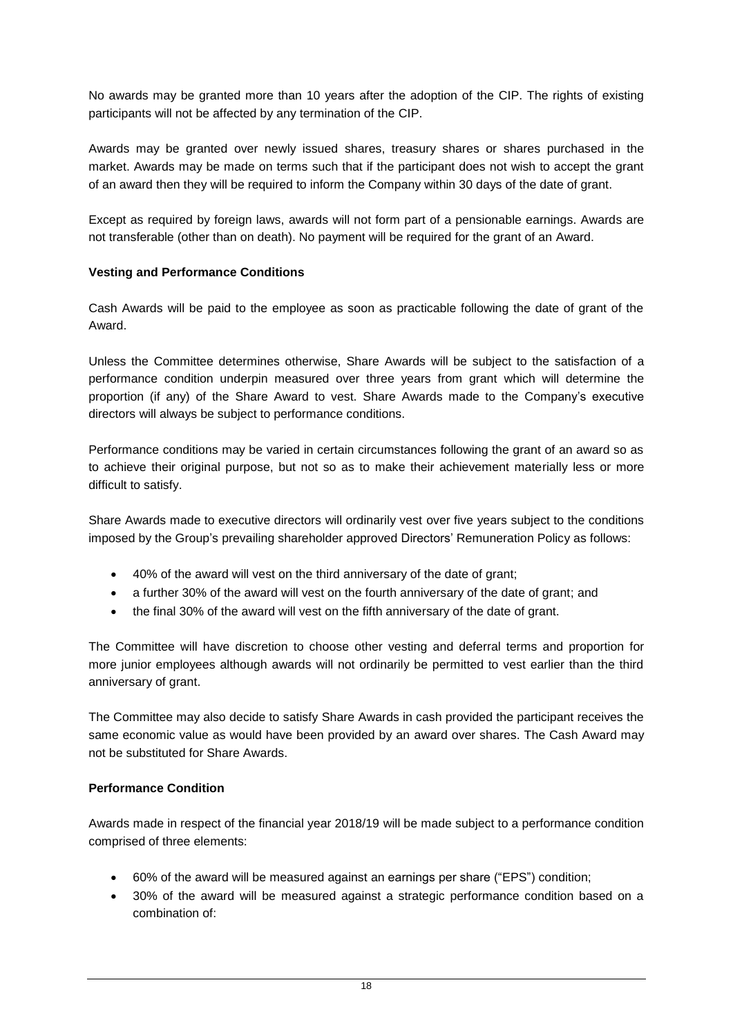No awards may be granted more than 10 years after the adoption of the CIP. The rights of existing participants will not be affected by any termination of the CIP.

Awards may be granted over newly issued shares, treasury shares or shares purchased in the market. Awards may be made on terms such that if the participant does not wish to accept the grant of an award then they will be required to inform the Company within 30 days of the date of grant.

Except as required by foreign laws, awards will not form part of a pensionable earnings. Awards are not transferable (other than on death). No payment will be required for the grant of an Award.

### **Vesting and Performance Conditions**

Cash Awards will be paid to the employee as soon as practicable following the date of grant of the Award.

Unless the Committee determines otherwise, Share Awards will be subject to the satisfaction of a performance condition underpin measured over three years from grant which will determine the proportion (if any) of the Share Award to vest. Share Awards made to the Company's executive directors will always be subject to performance conditions.

Performance conditions may be varied in certain circumstances following the grant of an award so as to achieve their original purpose, but not so as to make their achievement materially less or more difficult to satisfy.

Share Awards made to executive directors will ordinarily vest over five years subject to the conditions imposed by the Group's prevailing shareholder approved Directors' Remuneration Policy as follows:

- 40% of the award will vest on the third anniversary of the date of grant;
- a further 30% of the award will vest on the fourth anniversary of the date of grant; and
- the final 30% of the award will vest on the fifth anniversary of the date of grant.

The Committee will have discretion to choose other vesting and deferral terms and proportion for more junior employees although awards will not ordinarily be permitted to vest earlier than the third anniversary of grant.

The Committee may also decide to satisfy Share Awards in cash provided the participant receives the same economic value as would have been provided by an award over shares. The Cash Award may not be substituted for Share Awards.

#### **Performance Condition**

Awards made in respect of the financial year 2018/19 will be made subject to a performance condition comprised of three elements:

- 60% of the award will be measured against an earnings per share ("EPS") condition;
- 30% of the award will be measured against a strategic performance condition based on a combination of: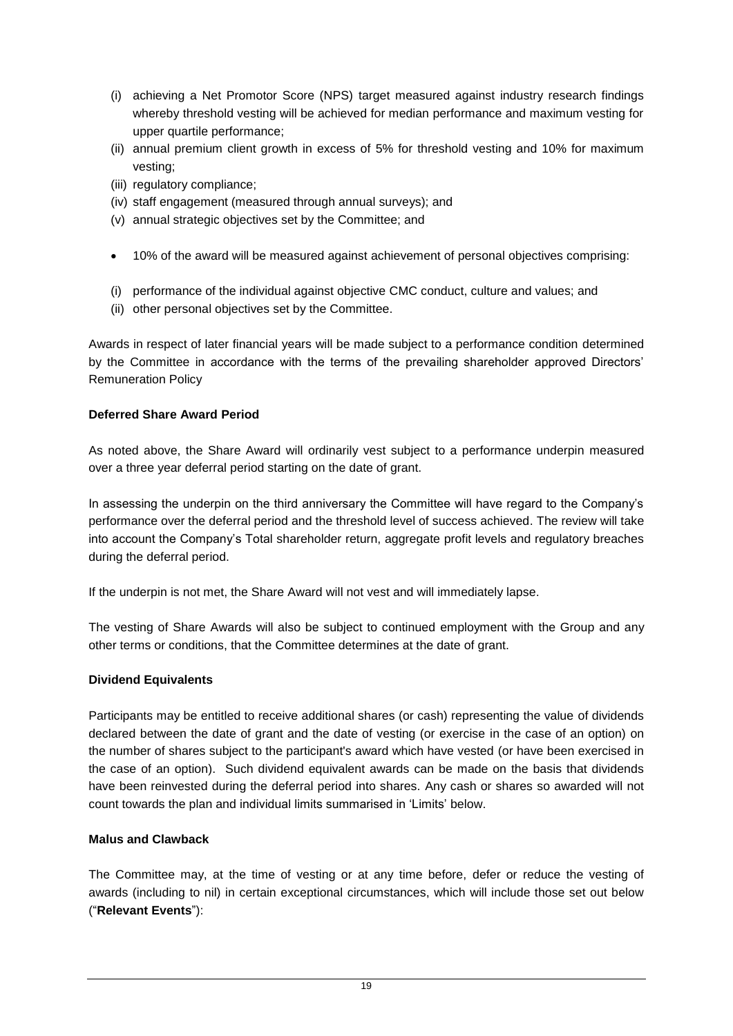- (i) achieving a Net Promotor Score (NPS) target measured against industry research findings whereby threshold vesting will be achieved for median performance and maximum vesting for upper quartile performance;
- (ii) annual premium client growth in excess of 5% for threshold vesting and 10% for maximum vesting;
- (iii) regulatory compliance;
- (iv) staff engagement (measured through annual surveys); and
- (v) annual strategic objectives set by the Committee; and
- 10% of the award will be measured against achievement of personal objectives comprising:
- (i) performance of the individual against objective CMC conduct, culture and values; and
- (ii) other personal objectives set by the Committee.

Awards in respect of later financial years will be made subject to a performance condition determined by the Committee in accordance with the terms of the prevailing shareholder approved Directors' Remuneration Policy

### **Deferred Share Award Period**

As noted above, the Share Award will ordinarily vest subject to a performance underpin measured over a three year deferral period starting on the date of grant.

In assessing the underpin on the third anniversary the Committee will have regard to the Company's performance over the deferral period and the threshold level of success achieved. The review will take into account the Company's Total shareholder return, aggregate profit levels and regulatory breaches during the deferral period.

If the underpin is not met, the Share Award will not vest and will immediately lapse.

The vesting of Share Awards will also be subject to continued employment with the Group and any other terms or conditions, that the Committee determines at the date of grant.

### **Dividend Equivalents**

Participants may be entitled to receive additional shares (or cash) representing the value of dividends declared between the date of grant and the date of vesting (or exercise in the case of an option) on the number of shares subject to the participant's award which have vested (or have been exercised in the case of an option). Such dividend equivalent awards can be made on the basis that dividends have been reinvested during the deferral period into shares. Any cash or shares so awarded will not count towards the plan and individual limits summarised in 'Limits' below.

### **Malus and Clawback**

The Committee may, at the time of vesting or at any time before, defer or reduce the vesting of awards (including to nil) in certain exceptional circumstances, which will include those set out below ("**Relevant Events**"):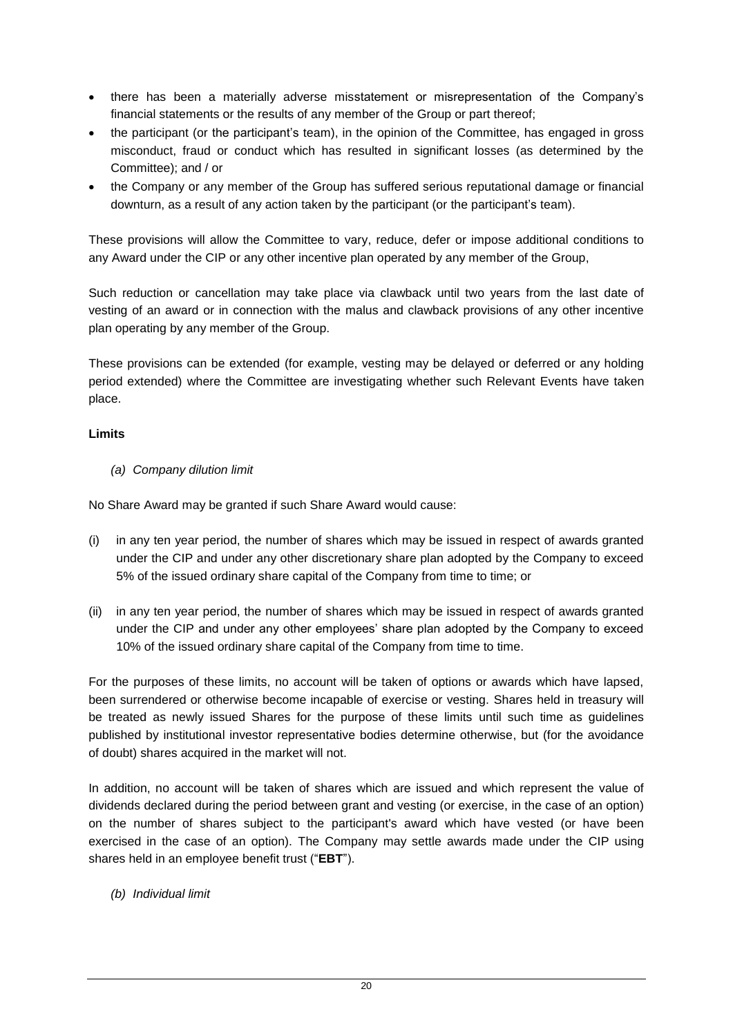- there has been a materially adverse misstatement or misrepresentation of the Company's financial statements or the results of any member of the Group or part thereof;
- the participant (or the participant's team), in the opinion of the Committee, has engaged in gross misconduct, fraud or conduct which has resulted in significant losses (as determined by the Committee); and / or
- the Company or any member of the Group has suffered serious reputational damage or financial downturn, as a result of any action taken by the participant (or the participant's team).

These provisions will allow the Committee to vary, reduce, defer or impose additional conditions to any Award under the CIP or any other incentive plan operated by any member of the Group,

Such reduction or cancellation may take place via clawback until two years from the last date of vesting of an award or in connection with the malus and clawback provisions of any other incentive plan operating by any member of the Group.

These provisions can be extended (for example, vesting may be delayed or deferred or any holding period extended) where the Committee are investigating whether such Relevant Events have taken place.

#### **Limits**

*(a) Company dilution limit*

No Share Award may be granted if such Share Award would cause:

- (i) in any ten year period, the number of shares which may be issued in respect of awards granted under the CIP and under any other discretionary share plan adopted by the Company to exceed 5% of the issued ordinary share capital of the Company from time to time; or
- (ii) in any ten year period, the number of shares which may be issued in respect of awards granted under the CIP and under any other employees' share plan adopted by the Company to exceed 10% of the issued ordinary share capital of the Company from time to time.

For the purposes of these limits, no account will be taken of options or awards which have lapsed, been surrendered or otherwise become incapable of exercise or vesting. Shares held in treasury will be treated as newly issued Shares for the purpose of these limits until such time as guidelines published by institutional investor representative bodies determine otherwise, but (for the avoidance of doubt) shares acquired in the market will not.

In addition, no account will be taken of shares which are issued and which represent the value of dividends declared during the period between grant and vesting (or exercise, in the case of an option) on the number of shares subject to the participant's award which have vested (or have been exercised in the case of an option). The Company may settle awards made under the CIP using shares held in an employee benefit trust ("**EBT**").

*(b) Individual limit*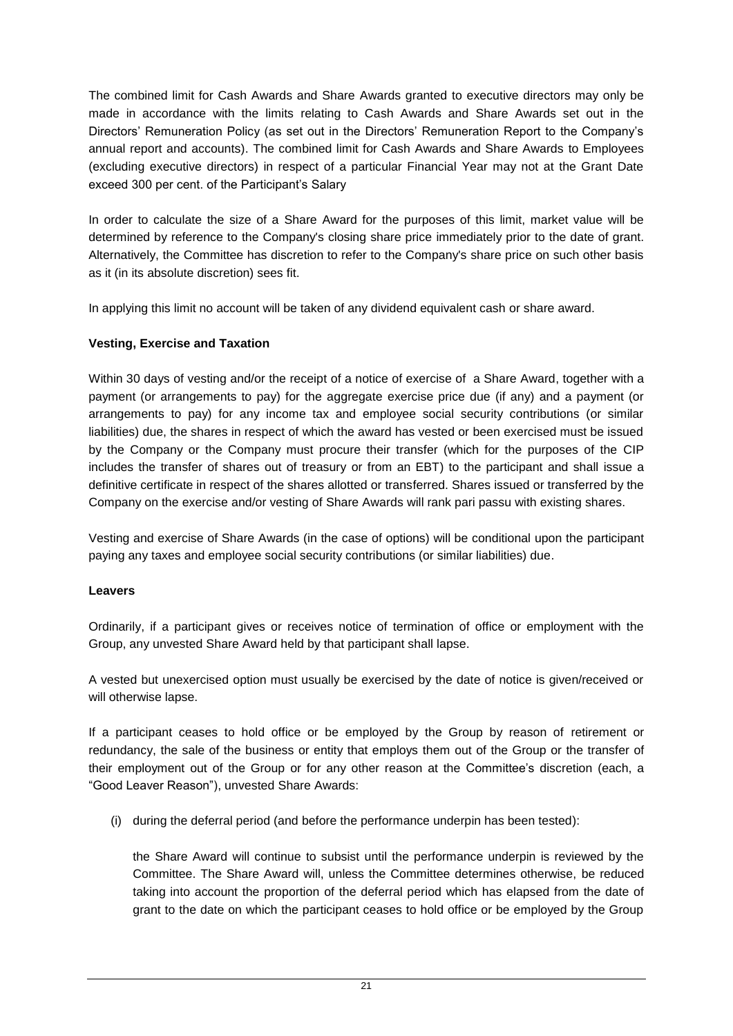The combined limit for Cash Awards and Share Awards granted to executive directors may only be made in accordance with the limits relating to Cash Awards and Share Awards set out in the Directors' Remuneration Policy (as set out in the Directors' Remuneration Report to the Company's annual report and accounts). The combined limit for Cash Awards and Share Awards to Employees (excluding executive directors) in respect of a particular Financial Year may not at the Grant Date exceed 300 per cent. of the Participant's Salary

In order to calculate the size of a Share Award for the purposes of this limit, market value will be determined by reference to the Company's closing share price immediately prior to the date of grant. Alternatively, the Committee has discretion to refer to the Company's share price on such other basis as it (in its absolute discretion) sees fit.

In applying this limit no account will be taken of any dividend equivalent cash or share award.

### **Vesting, Exercise and Taxation**

Within 30 days of vesting and/or the receipt of a notice of exercise of a Share Award, together with a payment (or arrangements to pay) for the aggregate exercise price due (if any) and a payment (or arrangements to pay) for any income tax and employee social security contributions (or similar liabilities) due, the shares in respect of which the award has vested or been exercised must be issued by the Company or the Company must procure their transfer (which for the purposes of the CIP includes the transfer of shares out of treasury or from an EBT) to the participant and shall issue a definitive certificate in respect of the shares allotted or transferred. Shares issued or transferred by the Company on the exercise and/or vesting of Share Awards will rank pari passu with existing shares.

Vesting and exercise of Share Awards (in the case of options) will be conditional upon the participant paying any taxes and employee social security contributions (or similar liabilities) due.

### **Leavers**

Ordinarily, if a participant gives or receives notice of termination of office or employment with the Group, any unvested Share Award held by that participant shall lapse.

A vested but unexercised option must usually be exercised by the date of notice is given/received or will otherwise lapse.

If a participant ceases to hold office or be employed by the Group by reason of retirement or redundancy, the sale of the business or entity that employs them out of the Group or the transfer of their employment out of the Group or for any other reason at the Committee's discretion (each, a "Good Leaver Reason"), unvested Share Awards:

(i) during the deferral period (and before the performance underpin has been tested):

the Share Award will continue to subsist until the performance underpin is reviewed by the Committee. The Share Award will, unless the Committee determines otherwise, be reduced taking into account the proportion of the deferral period which has elapsed from the date of grant to the date on which the participant ceases to hold office or be employed by the Group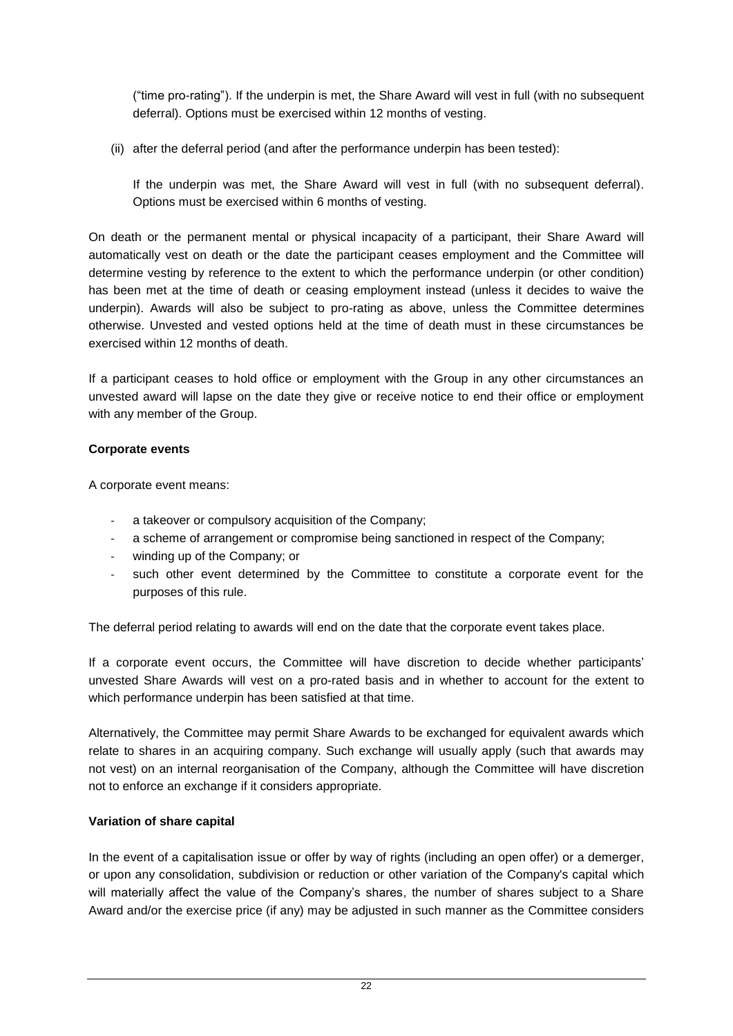("time pro-rating"). If the underpin is met, the Share Award will vest in full (with no subsequent deferral). Options must be exercised within 12 months of vesting.

(ii) after the deferral period (and after the performance underpin has been tested):

If the underpin was met, the Share Award will vest in full (with no subsequent deferral). Options must be exercised within 6 months of vesting.

On death or the permanent mental or physical incapacity of a participant, their Share Award will automatically vest on death or the date the participant ceases employment and the Committee will determine vesting by reference to the extent to which the performance underpin (or other condition) has been met at the time of death or ceasing employment instead (unless it decides to waive the underpin). Awards will also be subject to pro-rating as above, unless the Committee determines otherwise. Unvested and vested options held at the time of death must in these circumstances be exercised within 12 months of death.

If a participant ceases to hold office or employment with the Group in any other circumstances an unvested award will lapse on the date they give or receive notice to end their office or employment with any member of the Group.

### **Corporate events**

A corporate event means:

- a takeover or compulsory acquisition of the Company;
- a scheme of arrangement or compromise being sanctioned in respect of the Company;
- winding up of the Company; or
- such other event determined by the Committee to constitute a corporate event for the purposes of this rule.

The deferral period relating to awards will end on the date that the corporate event takes place.

If a corporate event occurs, the Committee will have discretion to decide whether participants' unvested Share Awards will vest on a pro-rated basis and in whether to account for the extent to which performance underpin has been satisfied at that time.

Alternatively, the Committee may permit Share Awards to be exchanged for equivalent awards which relate to shares in an acquiring company. Such exchange will usually apply (such that awards may not vest) on an internal reorganisation of the Company, although the Committee will have discretion not to enforce an exchange if it considers appropriate.

### **Variation of share capital**

In the event of a capitalisation issue or offer by way of rights (including an open offer) or a demerger, or upon any consolidation, subdivision or reduction or other variation of the Company's capital which will materially affect the value of the Company's shares, the number of shares subject to a Share Award and/or the exercise price (if any) may be adjusted in such manner as the Committee considers